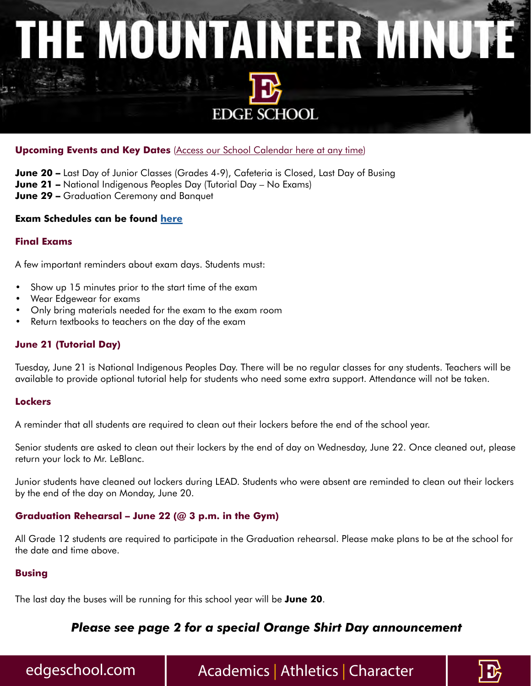# THE MOUNTAINEER MINUTE **EDGE SCHOOL**

#### **Upcoming Events and Key Dates** [\(Access our School Calendar here at any time\)](https://edgeschool.com/calendar/)

**June 20 –** Last Day of Junior Classes (Grades 4-9), Cafeteria is Closed, Last Day of Busing **June 21 –** National Indigenous Peoples Day (Tutorial Day – No Exams) **June 29 –** Graduation Ceremony and Banquet

#### **Exam Schedules can be found [here](https://edgeschool.com/calendar/)**

#### **Final Exams**

A few important reminders about exam days. Students must:

- Show up 15 minutes prior to the start time of the exam
- Wear Edgewear for exams
- Only bring materials needed for the exam to the exam room
- Return textbooks to teachers on the day of the exam

#### **June 21 (Tutorial Day)**

Tuesday, June 21 is National Indigenous Peoples Day. There will be no regular classes for any students. Teachers will be available to provide optional tutorial help for students who need some extra support. Attendance will not be taken.

#### **Lockers**

A reminder that all students are required to clean out their lockers before the end of the school year.

Senior students are asked to clean out their lockers by the end of day on Wednesday, June 22. Once cleaned out, please return your lock to Mr. LeBlanc.

Junior students have cleaned out lockers during LEAD. Students who were absent are reminded to clean out their lockers by the end of the day on Monday, June 20.

#### **Graduation Rehearsal – June 22 (@ 3 p.m. in the Gym)**

All Grade 12 students are required to participate in the Graduation rehearsal. Please make plans to be at the school for the date and time above.

#### **Busing**

The last day the buses will be running for this school year will be **June 20**.

### *Please see page 2 for a special Orange Shirt Day announcement*

### edgeschool.com | Academics | Athletics | Character